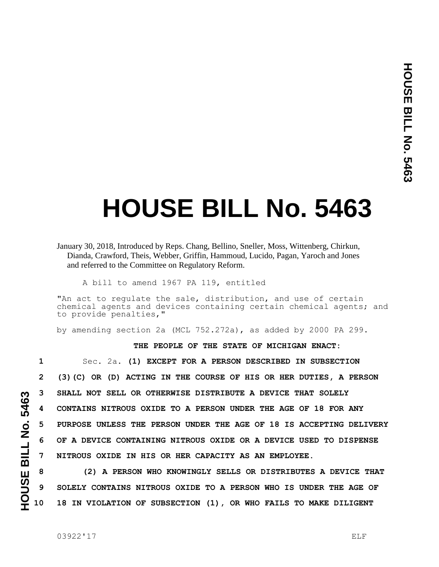## **HOUSE BILL No. 5463**

January 30, 2018, Introduced by Reps. Chang, Bellino, Sneller, Moss, Wittenberg, Chirkun, Dianda, Crawford, Theis, Webber, Griffin, Hammoud, Lucido, Pagan, Yaroch and Jones and referred to the Committee on Regulatory Reform.

A bill to amend 1967 PA 119, entitled

"An act to regulate the sale, distribution, and use of certain chemical agents and devices containing certain chemical agents; and to provide penalties,"

by amending section 2a (MCL 752.272a), as added by 2000 PA 299.

## **THE PEOPLE OF THE STATE OF MICHIGAN ENACT:**

 Sec. 2a. **(1) EXCEPT FOR A PERSON DESCRIBED IN SUBSECTION (3)(C) OR (D) ACTING IN THE COURSE OF HIS OR HER DUTIES, A PERSON SHALL NOT SELL OR OTHERWISE DISTRIBUTE A DEVICE THAT SOLELY CONTAINS NITROUS OXIDE TO A PERSON UNDER THE AGE OF 18 FOR ANY PURPOSE UNLESS THE PERSON UNDER THE AGE OF 18 IS ACCEPTING DELIVERY OF A DEVICE CONTAINING NITROUS OXIDE OR A DEVICE USED TO DISPENSE NITROUS OXIDE IN HIS OR HER CAPACITY AS AN EMPLOYEE.**

**8 (2) A PERSON WHO KNOWINGLY SELLS OR DISTRIBUTES A DEVICE THAT 9 SOLELY CONTAINS NITROUS OXIDE TO A PERSON WHO IS UNDER THE AGE OF 10 18 IN VIOLATION OF SUBSECTION (1), OR WHO FAILS TO MAKE DILIGENT** 

HOUSE BILL No. 5463 **HOUSE BILL No. 5463**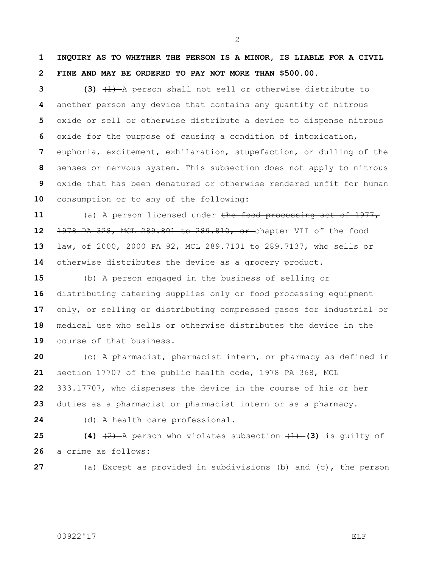**INQUIRY AS TO WHETHER THE PERSON IS A MINOR, IS LIABLE FOR A CIVIL FINE AND MAY BE ORDERED TO PAY NOT MORE THAN \$500.00.**

 **(3)** (1) A person shall not sell or otherwise distribute to another person any device that contains any quantity of nitrous oxide or sell or otherwise distribute a device to dispense nitrous oxide for the purpose of causing a condition of intoxication, euphoria, excitement, exhilaration, stupefaction, or dulling of the senses or nervous system. This subsection does not apply to nitrous oxide that has been denatured or otherwise rendered unfit for human consumption or to any of the following:

 (a) A person licensed under the food processing act of 1977, 1978 PA 328, MCL 289.801 to 289.810, or chapter VII of the food law**,** of 2000, 2000 PA 92, MCL 289.7101 to 289.7137, who sells or otherwise distributes the device as a grocery product.

 (b) A person engaged in the business of selling or distributing catering supplies only or food processing equipment only, or selling or distributing compressed gases for industrial or medical use who sells or otherwise distributes the device in the course of that business.

 (c) A pharmacist, pharmacist intern, or pharmacy as defined in section 17707 of the public health code, 1978 PA 368, MCL 333.17707, who dispenses the device in the course of his or her duties as a pharmacist or pharmacist intern or as a pharmacy.

(d) A health care professional.

**25 (4)**  $\left(\frac{2}{2}\right)$  A person who violates subsection  $\left(\frac{1}{2}\right)$  **(3)** is quilty of a crime as follows:

(a) Except as provided in subdivisions (b) and (c), the person

## 03922'17 ELF